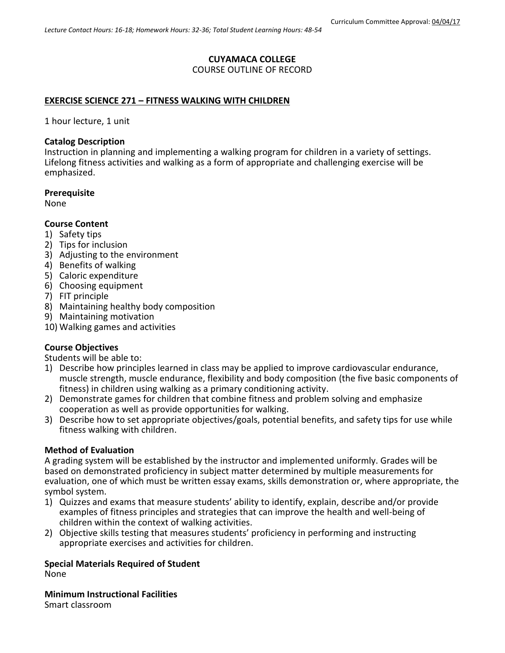# **CUYAMACA COLLEGE**

# COURSE OUTLINE OF RECORD

#### **EXERCISE SCIENCE 271 – FITNESS WALKING WITH CHILDREN**

1 hour lecture, 1 unit

#### **Catalog Description**

Instruction in planning and implementing a walking program for children in a variety of settings. Lifelong fitness activities and walking as a form of appropriate and challenging exercise will be emphasized.

#### **Prerequisite**

None

### **Course Content**

- 1) Safety tips
- 2) Tips for inclusion
- 3) Adjusting to the environment
- 4) Benefits of walking
- 5) Caloric expenditure
- 6) Choosing equipment
- 7) FIT principle
- 8) Maintaining healthy body composition
- 9) Maintaining motivation
- 10) Walking games and activities

### **Course Objectives**

Students will be able to:

- 1) Describe how principles learned in class may be applied to improve cardiovascular endurance, muscle strength, muscle endurance, flexibility and body composition (the five basic components of fitness) in children using walking as a primary conditioning activity.
- 2) Demonstrate games for children that combine fitness and problem solving and emphasize cooperation as well as provide opportunities for walking.
- 3) Describe how to set appropriate objectives/goals, potential benefits, and safety tips for use while fitness walking with children.

### **Method of Evaluation**

A grading system will be established by the instructor and implemented uniformly. Grades will be based on demonstrated proficiency in subject matter determined by multiple measurements for evaluation, one of which must be written essay exams, skills demonstration or, where appropriate, the symbol system.

- 1) Quizzes and exams that measure students' ability to identify, explain, describe and/or provide examples of fitness principles and strategies that can improve the health and well-being of children within the context of walking activities.
- 2) Objective skills testing that measures students' proficiency in performing and instructing appropriate exercises and activities for children.

#### **Special Materials Required of Student** None

**Minimum Instructional Facilities** Smart classroom